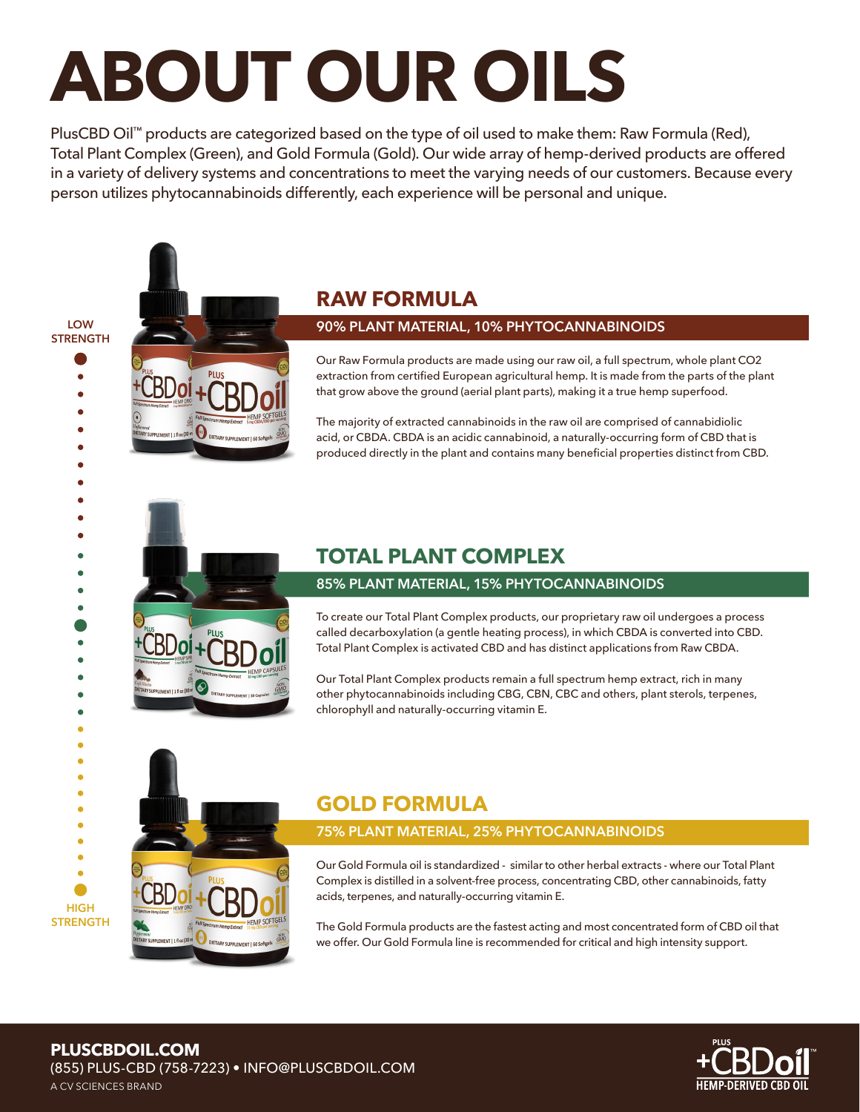# **ABOUT OUR OILS**

PlusCBD Oil™ products are categorized based on the type of oil used to make them: Raw Formula (Red), Total Plant Complex (Green), and Gold Formula (Gold). Our wide array of hemp-derived products are offered in a variety of delivery systems and concentrations to meet the varying needs of our customers. Because every person utilizes phytocannabinoids differently, each experience will be personal and unique.

**LOW STRENGTH**

> $\bullet$  $\bullet$

> > $\bullet$  $\bullet$  $\bullet$

> > ò  $\bullet$  $\bullet$  $\bullet$

 $\bullet$ 

 $\bullet$ 

è

 $\bullet$  $\bullet$ 

**HIGH STRENGTH**



## **RAW FORMULA**

#### **90% PLANT MATERIAL, 10% PHYTOCANNABINOIDS**

Our Raw Formula products are made using our raw oil, a full spectrum, whole plant CO2 extraction from certifed European agricultural hemp. It is made from the parts of the plant that grow above the ground (aerial plant parts), making it a true hemp superfood.

The majority of extracted cannabinoids in the raw oil are comprised of cannabidiolic acid, or CBDA. CBDA is an acidic cannabinoid, a naturally-occurring form of CBD that is produced directly in the plant and contains many beneficial properties distinct from CBD.

# **TOTAL PLANT COMPLEX**

#### **85% PLANT MATERIAL, 15% PHYTOCANNABINOIDS**

To create our Total Plant Complex products, our proprietary raw oil undergoes a process called decarboxylation (a gentle heating process), in which CBDA is converted into CBD. Total Plant Complex is activated CBD and has distinct applications from Raw CBDA.

Our Total Plant Complex products remain a full spectrum hemp extract, rich in many other phytocannabinoids including CBG, CBN, CBC and others, plant sterols, terpenes, chlorophyll and naturally-occurring vitamin E.

## **GOLD FORMULA**

#### **75% PLANT MATERIAL, 25% PHYTOCANNABINOIDS**

Our Gold Formula oil is standardized - similar to other herbal extracts - where our Total Plant Complex is distilled in a solvent-free process, concentrating CBD, other cannabinoids, fatty acids, terpenes, and naturally-occurring vitamin E.

The Gold Formula products are the fastest acting and most concentrated form of CBD oil that we offer. Our Gold Formula line is recommended for critical and high intensity support.